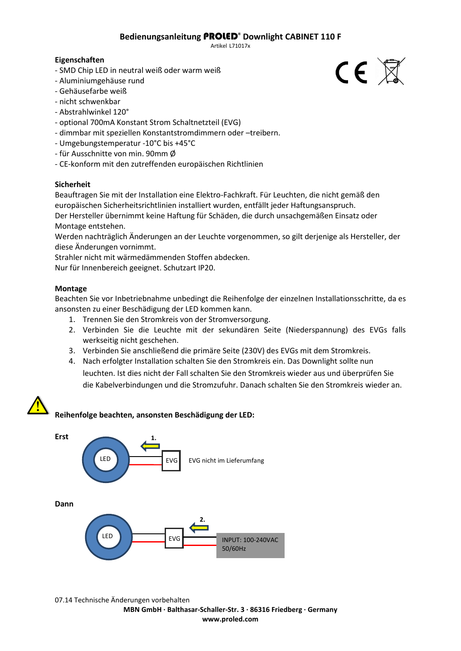# **Bedienungsanleitung** PROLED® **Downlight CABINET 110 F**

Artikel L71017x

# **Eigenschaften**

- SMD Chip LED in neutral weiß oder warm weiß
- Aluminiumgehäuse rund
- Gehäusefarbe weiß
- nicht schwenkbar
- Abstrahlwinkel 120°
- optional 700mA Konstant Strom Schaltnetzteil (EVG)
- dimmbar mit speziellen Konstantstromdimmern oder –treibern.
- Umgebungstemperatur -10°C bis +45°C
- für Ausschnitte von min. 90mm Ø
- CE-konform mit den zutreffenden europäischen Richtlinien

# **Sicherheit**

Beauftragen Sie mit der Installation eine Elektro-Fachkraft. Für Leuchten, die nicht gemäß den europäischen Sicherheitsrichtlinien installiert wurden, entfällt jeder Haftungsanspruch. Der Hersteller übernimmt keine Haftung für Schäden, die durch unsachgemäßen Einsatz oder Montage entstehen.

Werden nachträglich Änderungen an der Leuchte vorgenommen, so gilt derjenige als Hersteller, der diese Änderungen vornimmt.

Strahler nicht mit wärmedämmenden Stoffen abdecken. Nur für Innenbereich geeignet. Schutzart IP20.

### **Montage**

Beachten Sie vor Inbetriebnahme unbedingt die Reihenfolge der einzelnen Installationsschritte, da es ansonsten zu einer Beschädigung der LED kommen kann.

- 1. Trennen Sie den Stromkreis von der Stromversorgung.
- 2. Verbinden Sie die Leuchte mit der sekundären Seite (Niederspannung) des EVGs falls werkseitig nicht geschehen.
- 3. Verbinden Sie anschließend die primäre Seite (230V) des EVGs mit dem Stromkreis.
- 4. Nach erfolgter Installation schalten Sie den Stromkreis ein. Das Downlight sollte nun leuchten. Ist dies nicht der Fall schalten Sie den Stromkreis wieder aus und überprüfen Sie die Kabelverbindungen und die Stromzufuhr. Danach schalten Sie den Stromkreis wieder an.

**www.proled.com**



 $CE \times$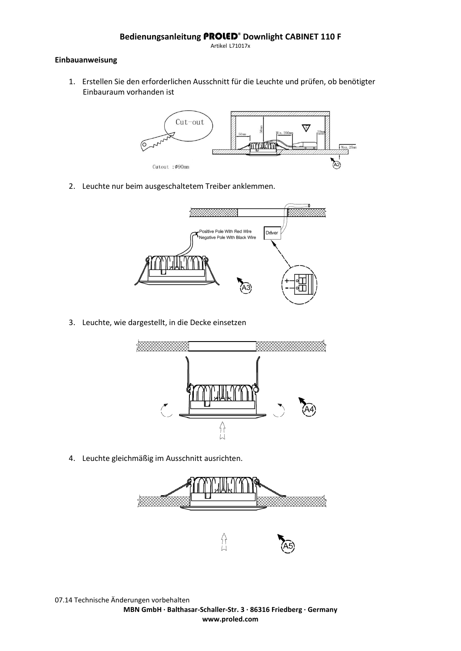Artikel L71017x

# **Einbauanweisung**

1. Erstellen Sie den erforderlichen Ausschnitt für die Leuchte und prüfen, ob benötigter Einbauraum vorhanden ist



2. Leuchte nur beim ausgeschaltetem Treiber anklemmen.



3. Leuchte, wie dargestellt, in die Decke einsetzen



4. Leuchte gleichmäßig im Ausschnitt ausrichten.

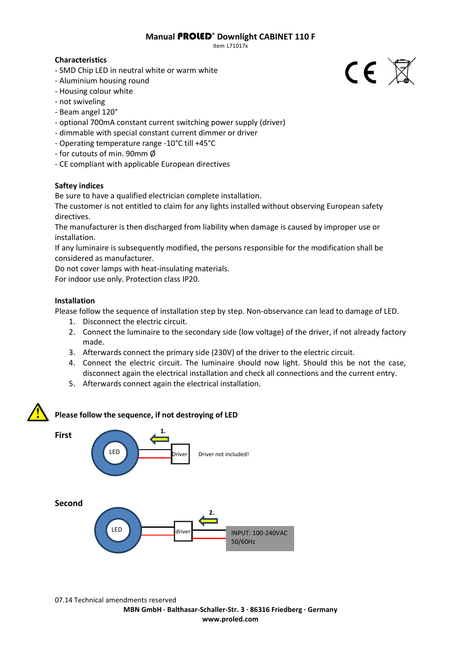### **Manual** PROLED® **Downlight CABINET 110 F**

item L71017x

# **Characteristics**

- SMD Chip LED in neutral white or warm white
- Aluminium housing round
- Housing colour white
- not swiveling
- Beam angel 120°
- optional 700mA constant current switching power supply (driver)
- dimmable with special constant current dimmer or driver
- Operating temperature range -10°C till +45°C
- for cutouts of min. 90mm Ø
- CE compliant with applicable European directives

# **Saftey indices**

Be sure to have a qualified electrician complete installation.

The customer is not entitled to claim for any lights installed without observing European safety directives.

The manufacturer is then discharged from liability when damage is caused by improper use or installation.

If any luminaire is subsequently modified, the persons responsible for the modification shall be considered as manufacturer.

Do not cover lamps with heat-insulating materials.

For indoor use only. Protection class IP20.

# **Installation**

Please follow the sequence of installation step by step. Non-observance can lead to damage of LED.

- 1. Disconnect the electric circuit.
- 2. Connect the luminaire to the secondary side (low voltage) of the driver, if not already factory made.
- 3. Afterwards connect the primary side (230V) of the driver to the electric circuit.
- 4. Connect the electric circuit. The luminaire should now light. Should this be not the case, disconnect again the electrical installation and check all connections and the current entry.
- 5. Afterwards connect again the electrical installation.